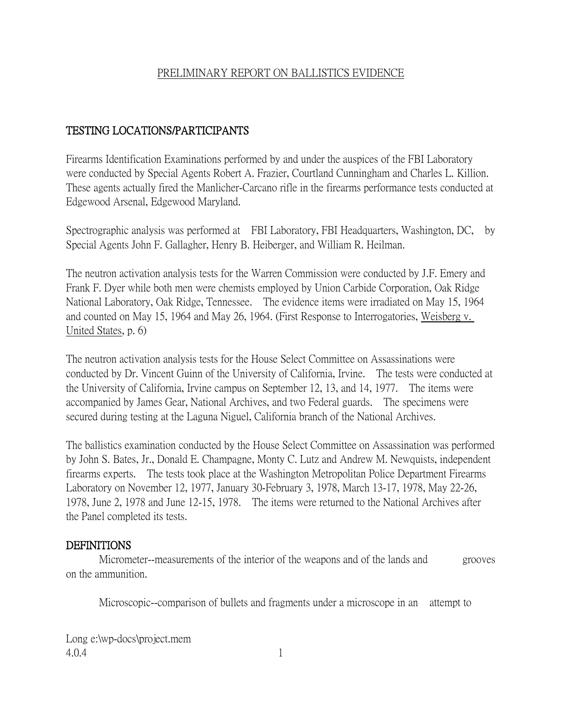## PRELIMINARY REPORT ON BALLISTICS EVIDENCE

## TESTING LOCATIONS/PARTICIPANTS

Firearms Identification Examinations performed by and under the auspices of the FBI Laboratory were conducted by Special Agents Robert A. Frazier, Courtland Cunningham and Charles L. Killion. These agents actually fired the Manlicher-Carcano rifle in the firearms performance tests conducted at Edgewood Arsenal, Edgewood Maryland.

Spectrographic analysis was performed at FBI Laboratory, FBI Headquarters, Washington, DC, by Special Agents John F. Gallagher, Henry B. Heiberger, and William R. Heilman.

The neutron activation analysis tests for the Warren Commission were conducted by J.F. Emery and Frank F. Dyer while both men were chemists employed by Union Carbide Corporation, Oak Ridge National Laboratory, Oak Ridge, Tennessee. The evidence items were irradiated on May 15, 1964 and counted on May 15, 1964 and May 26, 1964. (First Response to Interrogatories, Weisberg v. United States, p. 6)

The neutron activation analysis tests for the House Select Committee on Assassinations were conducted by Dr. Vincent Guinn of the University of California, Irvine. The tests were conducted at the University of California, Irvine campus on September 12, 13, and 14, 1977. The items were accompanied by James Gear, National Archives, and two Federal guards. The specimens were secured during testing at the Laguna Niguel, California branch of the National Archives.

The ballistics examination conducted by the House Select Committee on Assassination was performed by John S. Bates, Jr., Donald E. Champagne, Monty C. Lutz and Andrew M. Newquists, independent firearms experts. The tests took place at the Washington Metropolitan Police Department Firearms Laboratory on November 12, 1977, January 30-February 3, 1978, March 13-17, 1978, May 22-26, 1978, June 2, 1978 and June 12-15, 1978. The items were returned to the National Archives after the Panel completed its tests.

#### DEFINITIONS

Micrometer--measurements of the interior of the weapons and of the lands and grooves on the ammunition.

Microscopic--comparison of bullets and fragments under a microscope in an attempt to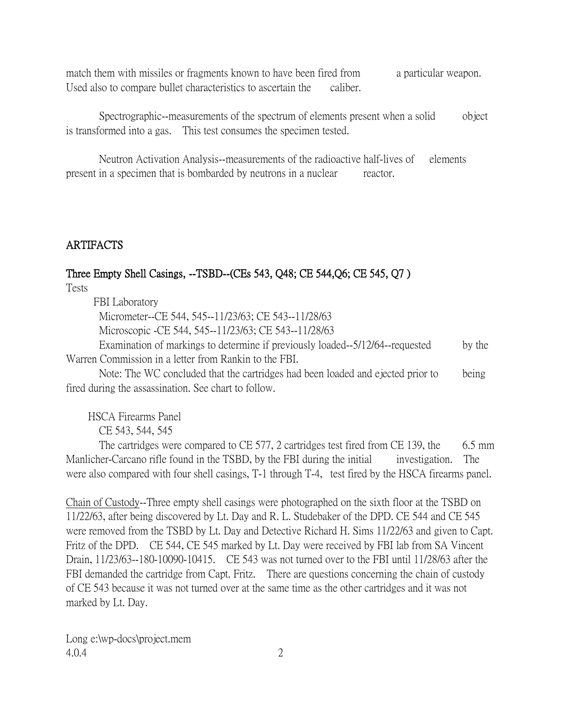match them with missiles or fragments known to have been fired from a particular weapon. Used also to compare bullet characteristics to ascertain the caliber.

Spectrographic--measurements of the spectrum of elements present when a solid object is transformed into a gas. This test consumes the specimen tested.

Neutron Activation Analysis--measurements of the radioactive half-lives of elements present in a specimen that is bombarded by neutrons in a nuclear reactor.

## ARTIFACTS

## Three Empty Shell Casings, --TSBD--(CEs 543, Q48; CE 544,Q6; CE 545, Q7 )

Tests

FBI Laboratory

Micrometer--CE 544, 545--11/23/63; CE 543--11/28/63

Microscopic -CE 544, 545--11/23/63; CE 543--11/28/63

Examination of markings to determine if previously loaded--5/12/64--requested by the Warren Commission in a letter from Rankin to the FBI.

Note: The WC concluded that the cartridges had been loaded and ejected prior to being fired during the assassination. See chart to follow.

HSCA Firearms Panel

CE 543, 544, 545

The cartridges were compared to CE 577, 2 cartridges test fired from CE 139, the  $6.5 \text{ mm}$ Manlicher-Carcano rifle found in the TSBD, by the FBI during the initial investigation. The were also compared with four shell casings, T-1 through T-4, test fired by the HSCA firearms panel.

Chain of Custody--Three empty shell casings were photographed on the sixth floor at the TSBD on 11/22/63, after being discovered by Lt. Day and R. L. Studebaker of the DPD. CE 544 and CE 545 were removed from the TSBD by Lt. Day and Detective Richard H. Sims 11/22/63 and given to Capt. Fritz of the DPD. CE 544, CE 545 marked by Lt. Day were received by FBI lab from SA Vincent Drain, 11/23/63--180-10090-10415. CE 543 was not turned over to the FBI until 11/28/63 after the FBI demanded the cartridge from Capt. Fritz. There are questions concerning the chain of custody of CE 543 because it was not turned over at the same time as the other cartridges and it was not marked by Lt. Day.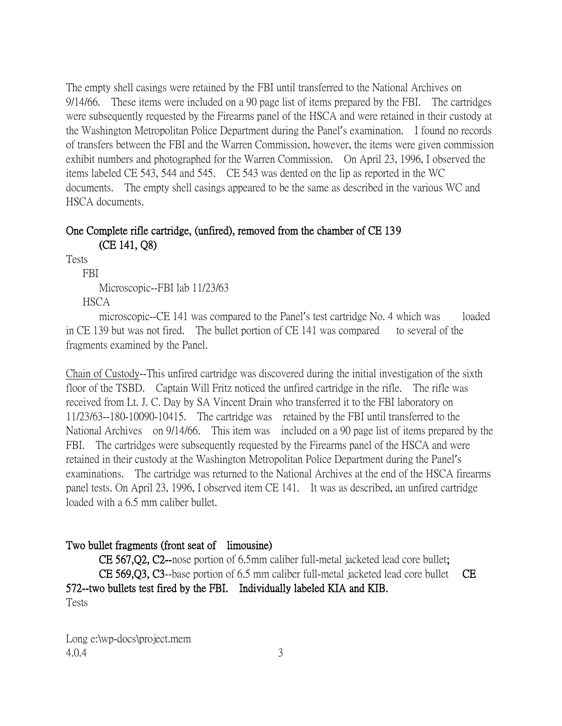The empty shell casings were retained by the FBI until transferred to the National Archives on 9/14/66. These items were included on a 90 page list of items prepared by the FBI. The cartridges were subsequently requested by the Firearms panel of the HSCA and were retained in their custody at the Washington Metropolitan Police Department during the Panel's examination. I found no records of transfers between the FBI and the Warren Commission, however, the items were given commission exhibit numbers and photographed for the Warren Commission. On April 23, 1996, I observed the items labeled CE 543, 544 and 545. CE 543 was dented on the lip as reported in the WC documents. The empty shell casings appeared to be the same as described in the various WC and HSCA documents.

#### One Complete rifle cartridge, (unfired), removed from the chamber of CE 139 (CE 141, Q8)

Tests

FBI

Microscopic--FBI lab 11/23/63

**HSCA** 

microscopic--CE 141 was compared to the Panel's test cartridge No. 4 which was loaded in CE 139 but was not fired. The bullet portion of CE 141 was compared to several of the fragments examined by the Panel.

Chain of Custody--This unfired cartridge was discovered during the initial investigation of the sixth floor of the TSBD. Captain Will Fritz noticed the unfired cartridge in the rifle. The rifle was received from Lt. J. C. Day by SA Vincent Drain who transferred it to the FBI laboratory on 11/23/63--180-10090-10415. The cartridge was retained by the FBI until transferred to the National Archives on 9/14/66. This item was included on a 90 page list of items prepared by the FBI. The cartridges were subsequently requested by the Firearms panel of the HSCA and were retained in their custody at the Washington Metropolitan Police Department during the Panel's examinations. The cartridge was returned to the National Archives at the end of the HSCA firearms panel tests. On April 23, 1996, I observed item CE 141. It was as described, an unfired cartridge loaded with a 6.5 mm caliber bullet.

## Two bullet fragments (front seat of limousine)

CE 567,Q2, C2--nose portion of 6.5mm caliber full-metal jacketed lead core bullet; CE 569,Q3, C3--base portion of 6.5 mm caliber full-metal jacketed lead core bullet CE 572--two bullets test fired by the FBI. Individually labeled KIA and KIB. Tests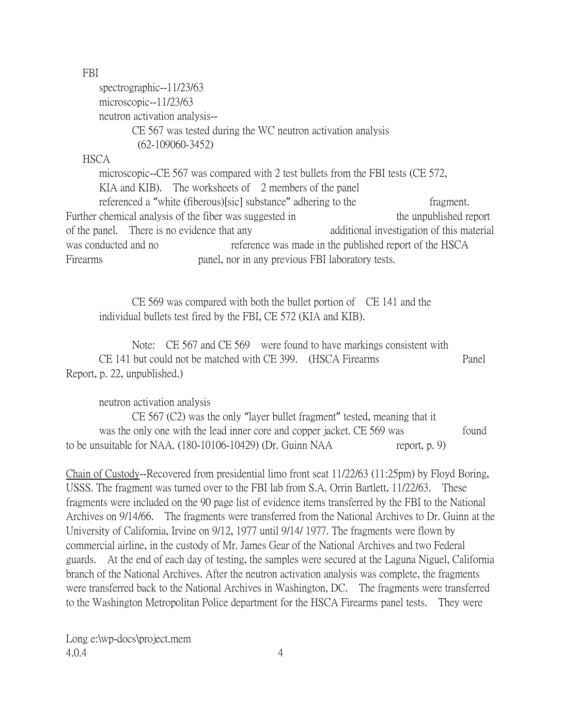FBI

spectrographic--11/23/63 microscopic--11/23/63 neutron activation analysis-- CE 567 was tested during the WC neutron activation analysis (62-109060-3452)

**HSCA** 

microscopic--CE 567 was compared with 2 test bullets from the FBI tests (CE 572, KIA and KIB). The worksheets of 2 members of the panel referenced a "white (fiberous)[sic] substance" adhering to the fragment. Further chemical analysis of the fiber was suggested in the unpublished report of the panel. There is no evidence that any additional investigation of this material was conducted and no reference was made in the published report of the HSCA Firearms panel, nor in any previous FBI laboratory tests.

CE 569 was compared with both the bullet portion of CE 141 and the individual bullets test fired by the FBI, CE 572 (KIA and KIB).

Note: CE 567 and CE 569 were found to have markings consistent with CE 141 but could not be matched with CE 399. (HSCA Firearms Panel Report, p. 22, unpublished.)

neutron activation analysis

CE 567 (C2) was the only "layer bullet fragment" tested, meaning that it was the only one with the lead inner core and copper jacket. CE 569 was found to be unsuitable for NAA.  $(180-10106-10429)$  (Dr. Guinn NAA report, p. 9)

Chain of Custody--Recovered from presidential limo front seat 11/22/63 (11:25pm) by Floyd Boring, USSS. The fragment was turned over to the FBI lab from S.A. Orrin Bartlett, 11/22/63. These fragments were included on the 90 page list of evidence items transferred by the FBI to the National Archives on 9/14/66. The fragments were transferred from the National Archives to Dr. Guinn at the University of California, Irvine on 9/12, 1977 until 9/14/ 1977. The fragments were flown by commercial airline, in the custody of Mr. James Gear of the National Archives and two Federal guards. At the end of each day of testing, the samples were secured at the Laguna Niguel, California branch of the National Archives. After the neutron activation analysis was complete, the fragments were transferred back to the National Archives in Washington, DC. The fragments were transferred to the Washington Metropolitan Police department for the HSCA Firearms panel tests. They were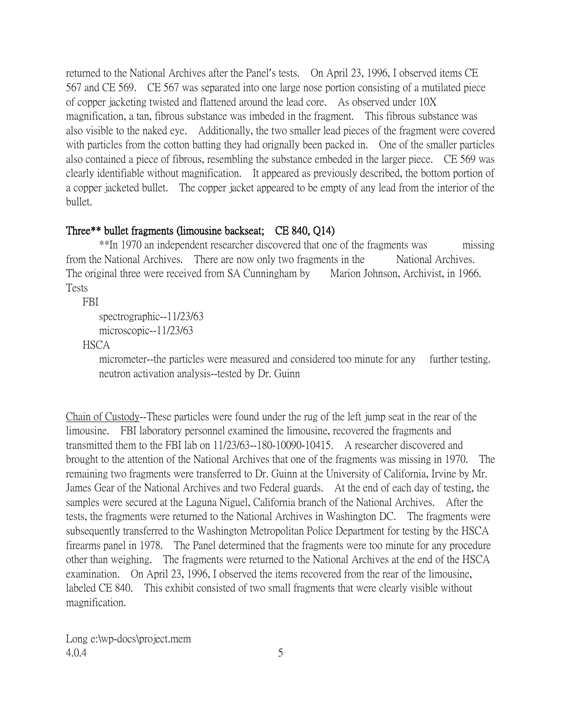returned to the National Archives after the Panel's tests. On April 23, 1996, I observed items CE 567 and CE 569. CE 567 was separated into one large nose portion consisting of a mutilated piece of copper jacketing twisted and flattened around the lead core. As observed under 10X magnification, a tan, fibrous substance was imbeded in the fragment. This fibrous substance was also visible to the naked eye. Additionally, the two smaller lead pieces of the fragment were covered with particles from the cotton batting they had orignally been packed in. One of the smaller particles also contained a piece of fibrous, resembling the substance embeded in the larger piece. CE 569 was clearly identifiable without magnification. It appeared as previously described, the bottom portion of a copper jacketed bullet. The copper jacket appeared to be empty of any lead from the interior of the bullet.

## Three\*\* bullet fragments (limousine backseat; CE 840, Q14)

\*\*In 1970 an independent researcher discovered that one of the fragments was missing from the National Archives. There are now only two fragments in the National Archives. The original three were received from SA Cunningham by Marion Johnson, Archivist, in 1966. Tests

FBI

```
spectrographic--11/23/63
```

```
microscopic--11/23/63
```
**HSCA** 

micrometer--the particles were measured and considered too minute for any further testing. neutron activation analysis--tested by Dr. Guinn

Chain of Custody--These particles were found under the rug of the left jump seat in the rear of the limousine. FBI laboratory personnel examined the limousine, recovered the fragments and transmitted them to the FBI lab on 11/23/63--180-10090-10415. A researcher discovered and brought to the attention of the National Archives that one of the fragments was missing in 1970. The remaining two fragments were transferred to Dr. Guinn at the University of California, Irvine by Mr. James Gear of the National Archives and two Federal guards. At the end of each day of testing, the samples were secured at the Laguna Niguel, California branch of the National Archives. After the tests, the fragments were returned to the National Archives in Washington DC. The fragments were subsequently transferred to the Washington Metropolitan Police Department for testing by the HSCA firearms panel in 1978. The Panel determined that the fragments were too minute for any procedure other than weighing. The fragments were returned to the National Archives at the end of the HSCA examination. On April 23, 1996, I observed the items recovered from the rear of the limousine, labeled CE 840. This exhibit consisted of two small fragments that were clearly visible without magnification.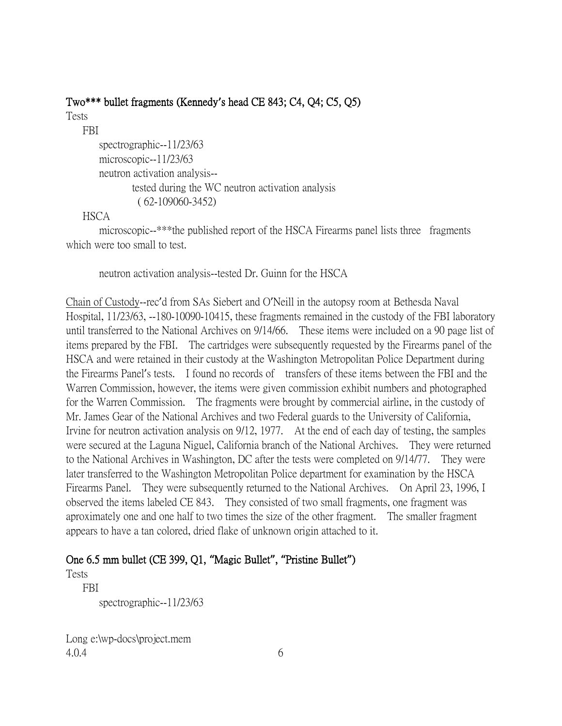### Two\*\*\* bullet fragments (Kennedy**'**s head CE 843; C4, Q4; C5, Q5)

Tests

FBI

spectrographic--11/23/63 microscopic--11/23/63 neutron activation analysis- tested during the WC neutron activation analysis ( 62-109060-3452)

#### HSCA

microscopic--\*\*\*the published report of the HSCA Firearms panel lists three fragments which were too small to test.

neutron activation analysis--tested Dr. Guinn for the HSCA

Chain of Custody--rec'd from SAs Siebert and O'Neill in the autopsy room at Bethesda Naval Hospital, 11/23/63, --180-10090-10415, these fragments remained in the custody of the FBI laboratory until transferred to the National Archives on 9/14/66. These items were included on a 90 page list of items prepared by the FBI. The cartridges were subsequently requested by the Firearms panel of the HSCA and were retained in their custody at the Washington Metropolitan Police Department during the Firearms Panel's tests. I found no records of transfers of these items between the FBI and the Warren Commission, however, the items were given commission exhibit numbers and photographed for the Warren Commission. The fragments were brought by commercial airline, in the custody of Mr. James Gear of the National Archives and two Federal guards to the University of California, Irvine for neutron activation analysis on 9/12, 1977. At the end of each day of testing, the samples were secured at the Laguna Niguel, California branch of the National Archives. They were returned to the National Archives in Washington, DC after the tests were completed on 9/14/77. They were later transferred to the Washington Metropolitan Police department for examination by the HSCA Firearms Panel. They were subsequently returned to the National Archives. On April 23, 1996, I observed the items labeled CE 843. They consisted of two small fragments, one fragment was aproximately one and one half to two times the size of the other fragment. The smaller fragment appears to have a tan colored, dried flake of unknown origin attached to it.

## One 6.5 mm bullet (CE 399, Q1, **"**Magic Bullet**"**, **"**Pristine Bullet**"**)

Tests

 FBI spectrographic--11/23/63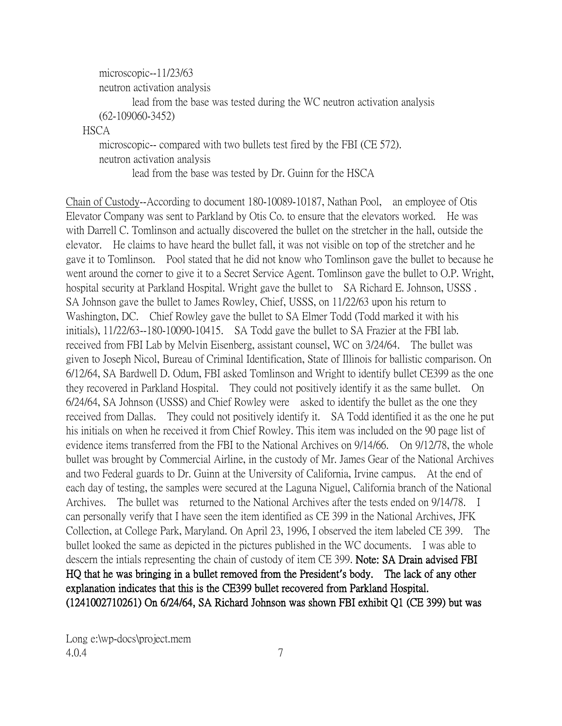microscopic--11/23/63 neutron activation analysis lead from the base was tested during the WC neutron activation analysis (62-109060-3452) **HSCA** microscopic-- compared with two bullets test fired by the FBI (CE 572). neutron activation analysis

lead from the base was tested by Dr. Guinn for the HSCA

Chain of Custody--According to document 180-10089-10187, Nathan Pool, an employee of Otis Elevator Company was sent to Parkland by Otis Co. to ensure that the elevators worked. He was with Darrell C. Tomlinson and actually discovered the bullet on the stretcher in the hall, outside the elevator. He claims to have heard the bullet fall, it was not visible on top of the stretcher and he gave it to Tomlinson. Pool stated that he did not know who Tomlinson gave the bullet to because he went around the corner to give it to a Secret Service Agent. Tomlinson gave the bullet to O.P. Wright, hospital security at Parkland Hospital. Wright gave the bullet to SA Richard E. Johnson, USSS . SA Johnson gave the bullet to James Rowley, Chief, USSS, on 11/22/63 upon his return to Washington, DC. Chief Rowley gave the bullet to SA Elmer Todd (Todd marked it with his initials), 11/22/63--180-10090-10415. SA Todd gave the bullet to SA Frazier at the FBI lab. received from FBI Lab by Melvin Eisenberg, assistant counsel, WC on 3/24/64. The bullet was given to Joseph Nicol, Bureau of Criminal Identification, State of Illinois for ballistic comparison. On 6/12/64, SA Bardwell D. Odum, FBI asked Tomlinson and Wright to identify bullet CE399 as the one they recovered in Parkland Hospital. They could not positively identify it as the same bullet. On 6/24/64, SA Johnson (USSS) and Chief Rowley were asked to identify the bullet as the one they received from Dallas. They could not positively identify it. SA Todd identified it as the one he put his initials on when he received it from Chief Rowley. This item was included on the 90 page list of evidence items transferred from the FBI to the National Archives on 9/14/66. On 9/12/78, the whole bullet was brought by Commercial Airline, in the custody of Mr. James Gear of the National Archives and two Federal guards to Dr. Guinn at the University of California, Irvine campus. At the end of each day of testing, the samples were secured at the Laguna Niguel, California branch of the National Archives. The bullet was returned to the National Archives after the tests ended on 9/14/78. I can personally verify that I have seen the item identified as CE 399 in the National Archives, JFK Collection, at College Park, Maryland. On April 23, 1996, I observed the item labeled CE 399. The bullet looked the same as depicted in the pictures published in the WC documents. I was able to descern the intials representing the chain of custody of item CE 399. Note: SA Drain advised FBI HQ that he was bringing in a bullet removed from the President**'**s body. The lack of any other explanation indicates that this is the CE399 bullet recovered from Parkland Hospital. (1241002710261) On 6/24/64, SA Richard Johnson was shown FBI exhibit Q1 (CE 399) but was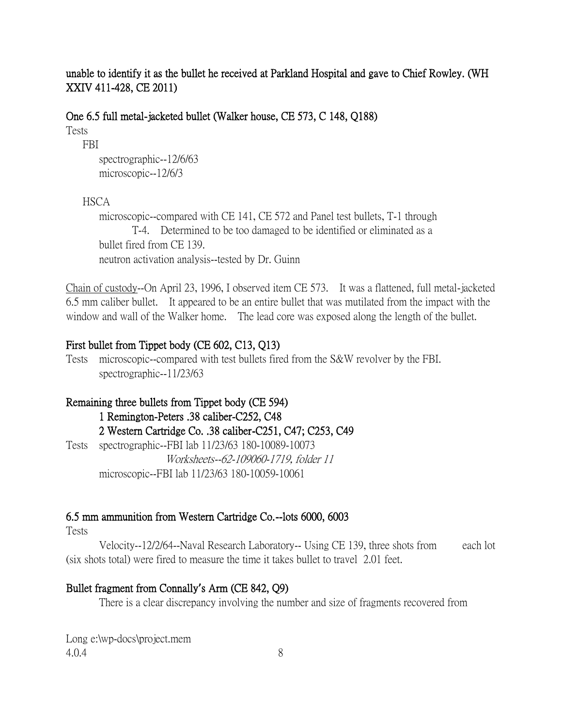unable to identify it as the bullet he received at Parkland Hospital and gave to Chief Rowley. (WH XXIV 411-428, CE 2011)

One 6.5 full metal-jacketed bullet (Walker house, CE 573, C 148, Q188) Tests

FBI

spectrographic--12/6/63 microscopic--12/6/3

#### **HSCA**

microscopic--compared with CE 141, CE 572 and Panel test bullets, T-1 through T-4. Determined to be too damaged to be identified or eliminated as a bullet fired from CE 139. neutron activation analysis--tested by Dr. Guinn

Chain of custody--On April 23, 1996, I observed item CE 573. It was a flattened, full metal-jacketed 6.5 mm caliber bullet. It appeared to be an entire bullet that was mutilated from the impact with the window and wall of the Walker home. The lead core was exposed along the length of the bullet.

#### First bullet from Tippet body (CE 602, C13, Q13)

Tests microscopic--compared with test bullets fired from the S&W revolver by the FBI. spectrographic--11/23/63

Remaining three bullets from Tippet body (CE 594) 1 Remington-Peters .38 caliber-C252, C48 2 Western Cartridge Co. .38 caliber-C251, C47; C253, C49 Tests spectrographic--FBI lab 11/23/63 180-10089-10073 Worksheets--62-109060-1719, folder 11 microscopic--FBI lab 11/23/63 180-10059-10061

#### 6.5 mm ammunition from Western Cartridge Co.--lots 6000, 6003

Tests

Velocity--12/2/64--Naval Research Laboratory-- Using CE 139, three shots from each lot (six shots total) were fired to measure the time it takes bullet to travel 2.01 feet.

## Bullet fragment from Connally**'**s Arm (CE 842, Q9)

There is a clear discrepancy involving the number and size of fragments recovered from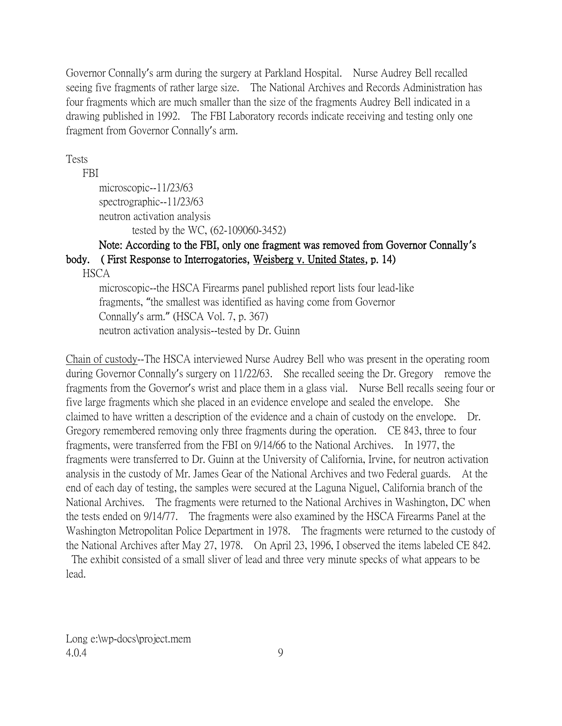Governor Connally's arm during the surgery at Parkland Hospital. Nurse Audrey Bell recalled seeing five fragments of rather large size. The National Archives and Records Administration has four fragments which are much smaller than the size of the fragments Audrey Bell indicated in a drawing published in 1992. The FBI Laboratory records indicate receiving and testing only one fragment from Governor Connally's arm.

Tests

FBI

```
microscopic--11/23/63
spectrographic--11/23/63
neutron activation analysis
       tested by the WC, (62-109060-3452)
```
# Note: According to the FBI, only one fragment was removed from Governor Connally**'**s body. ( First Response to Interrogatories, Weisberg v. United States, p. 14)

**HSCA** 

microscopic--the HSCA Firearms panel published report lists four lead-like fragments, "the smallest was identified as having come from Governor Connally's arm." (HSCA Vol. 7, p. 367) neutron activation analysis--tested by Dr. Guinn

Chain of custody--The HSCA interviewed Nurse Audrey Bell who was present in the operating room during Governor Connally's surgery on 11/22/63. She recalled seeing the Dr. Gregory remove the fragments from the Governor's wrist and place them in a glass vial. Nurse Bell recalls seeing four or five large fragments which she placed in an evidence envelope and sealed the envelope. She claimed to have written a description of the evidence and a chain of custody on the envelope. Dr. Gregory remembered removing only three fragments during the operation. CE 843, three to four fragments, were transferred from the FBI on 9/14/66 to the National Archives. In 1977, the fragments were transferred to Dr. Guinn at the University of California, Irvine, for neutron activation analysis in the custody of Mr. James Gear of the National Archives and two Federal guards. At the end of each day of testing, the samples were secured at the Laguna Niguel, California branch of the National Archives. The fragments were returned to the National Archives in Washington, DC when the tests ended on 9/14/77. The fragments were also examined by the HSCA Firearms Panel at the Washington Metropolitan Police Department in 1978. The fragments were returned to the custody of the National Archives after May 27, 1978. On April 23, 1996, I observed the items labeled CE 842.

The exhibit consisted of a small sliver of lead and three very minute specks of what appears to be lead.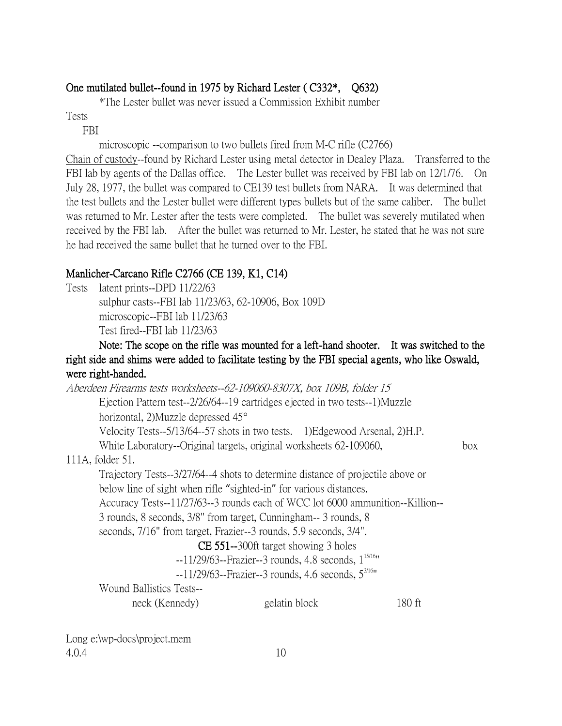# One mutilated bullet--found in 1975 by Richard Lester ( C332\*, Q632)

\*The Lester bullet was never issued a Commission Exhibit number

Tests

FBI

microscopic --comparison to two bullets fired from M-C rifle (C2766)

Chain of custody--found by Richard Lester using metal detector in Dealey Plaza. Transferred to the FBI lab by agents of the Dallas office. The Lester bullet was received by FBI lab on 12/1/76. On July 28, 1977, the bullet was compared to CE139 test bullets from NARA. It was determined that the test bullets and the Lester bullet were different types bullets but of the same caliber. The bullet was returned to Mr. Lester after the tests were completed. The bullet was severely mutilated when received by the FBI lab. After the bullet was returned to Mr. Lester, he stated that he was not sure he had received the same bullet that he turned over to the FBI.

# Manlicher-Carcano Rifle C2766 (CE 139, K1, C14)

Tests latent prints--DPD 11/22/63

sulphur casts--FBI lab 11/23/63, 62-10906, Box 109D microscopic--FBI lab 11/23/63 Test fired--FBI lab 11/23/63

## Note: The scope on the rifle was mounted for a left-hand shooter. It was switched to the right side and shims were added to facilitate testing by the FBI special agents, who like Oswald, were right-handed.

Aberdeen Firearms tests worksheets--62-109060-8307X, box 109B, folder 15 Ejection Pattern test--2/26/64--19 cartridges ejected in two tests--1)Muzzle horizontal, 2)Muzzle depressed 45 Velocity Tests--5/13/64--57 shots in two tests. 1)Edgewood Arsenal, 2)H.P. White Laboratory--Original targets, original worksheets 62-109060, box 111A, folder 51. Trajectory Tests--3/27/64--4 shots to determine distance of projectile above or below line of sight when rifle "sighted-in" for various distances. Accuracy Tests--11/27/63--3 rounds each of WCC lot 6000 ammunition--Killion-- 3 rounds, 8 seconds, 3/8" from target, Cunningham-- 3 rounds, 8 seconds, 7/16" from target, Frazier--3 rounds, 5.9 seconds, 3/4". CE 551--300ft target showing 3 holes --11/29/63--Frazier--3 rounds, 4.8 seconds, 1<sup>15/16</sup>"  $-11/29/63$ --Frazier--3 rounds, 4.6 seconds,  $5^{3/16}$ " Wound Ballistics Tests- neck (Kennedy) gelatin block 180 ft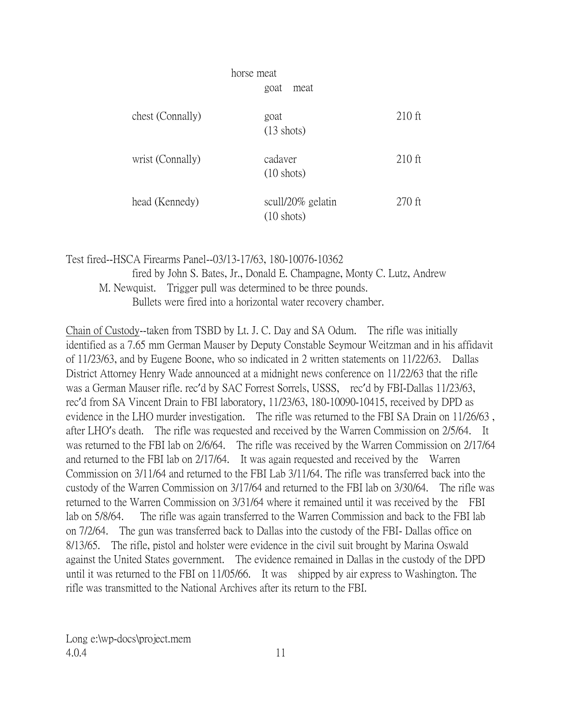| horse meat       |                                           |          |
|------------------|-------------------------------------------|----------|
|                  | goat<br>meat                              |          |
| chest (Connally) | goat<br>$(13 \text{ shots})$              | $210$ ft |
| wrist (Connally) | cadaver<br>$(10 \text{ shots})$           | $210$ ft |
| head (Kennedy)   | scull/20% gelatin<br>$(10 \text{ shots})$ | $270$ ft |

Test fired--HSCA Firearms Panel--03/13-17/63, 180-10076-10362

fired by John S. Bates, Jr., Donald E. Champagne, Monty C. Lutz, Andrew M. Newquist. Trigger pull was determined to be three pounds. Bullets were fired into a horizontal water recovery chamber.

Chain of Custody--taken from TSBD by Lt. J. C. Day and SA Odum. The rifle was initially identified as a 7.65 mm German Mauser by Deputy Constable Seymour Weitzman and in his affidavit of 11/23/63, and by Eugene Boone, who so indicated in 2 written statements on 11/22/63. Dallas District Attorney Henry Wade announced at a midnight news conference on 11/22/63 that the rifle was a German Mauser rifle. rec'd by SAC Forrest Sorrels, USSS, rec'd by FBI-Dallas 11/23/63, rec'd from SA Vincent Drain to FBI laboratory, 11/23/63, 180-10090-10415, received by DPD as evidence in the LHO murder investigation. The rifle was returned to the FBI SA Drain on 11/26/63 , after LHO's death. The rifle was requested and received by the Warren Commission on 2/5/64. It was returned to the FBI lab on 2/6/64. The rifle was received by the Warren Commission on 2/17/64 and returned to the FBI lab on 2/17/64. It was again requested and received by the Warren Commission on 3/11/64 and returned to the FBI Lab 3/11/64. The rifle was transferred back into the custody of the Warren Commission on 3/17/64 and returned to the FBI lab on 3/30/64. The rifle was returned to the Warren Commission on 3/31/64 where it remained until it was received by the FBI lab on 5/8/64. The rifle was again transferred to the Warren Commission and back to the FBI lab on 7/2/64. The gun was transferred back to Dallas into the custody of the FBI- Dallas office on 8/13/65. The rifle, pistol and holster were evidence in the civil suit brought by Marina Oswald against the United States government. The evidence remained in Dallas in the custody of the DPD until it was returned to the FBI on 11/05/66. It was shipped by air express to Washington. The rifle was transmitted to the National Archives after its return to the FBI.